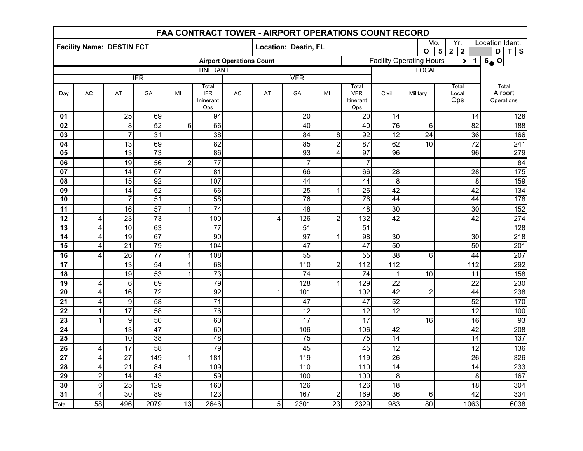| FAA CONTRACT TOWER - AIRPORT OPERATIONS COUNT RECORD |                         |                 |                 |                |                                         |            |                      |                 |                |                                         |                                                                                      |                                                                                                                   |                       |                                |  |
|------------------------------------------------------|-------------------------|-----------------|-----------------|----------------|-----------------------------------------|------------|----------------------|-----------------|----------------|-----------------------------------------|--------------------------------------------------------------------------------------|-------------------------------------------------------------------------------------------------------------------|-----------------------|--------------------------------|--|
| <b>Facility Name: DESTIN FCT</b>                     |                         |                 |                 |                |                                         |            | Location: Destin, FL |                 |                |                                         | Location Ident.<br>Mo.<br>Yr.<br>$5\phantom{a}$<br>2 2<br>$T$ S<br>D<br>$\mathbf{o}$ |                                                                                                                   |                       |                                |  |
| <b>Airport Operations Count</b>                      |                         |                 |                 |                |                                         |            |                      |                 |                |                                         |                                                                                      | $\overline{\mathbf{o}}$<br>6 <sub>4</sub><br><b>Facility Operating Hours -</b><br>$\overline{1}$<br>$\rightarrow$ |                       |                                |  |
| <b>ITINERANT</b>                                     |                         |                 |                 |                |                                         |            |                      |                 |                |                                         |                                                                                      | <b>LOCAL</b>                                                                                                      |                       |                                |  |
| <b>IFR</b>                                           |                         |                 |                 |                |                                         | <b>VFR</b> |                      |                 |                |                                         |                                                                                      |                                                                                                                   |                       |                                |  |
| Day                                                  | AC                      | AT              | GA              | MI             | Total<br><b>IFR</b><br>Ininerant<br>Ops | <b>AC</b>  | AT                   | GA              | MI             | Total<br><b>VFR</b><br>Itinerant<br>Ops | Civil                                                                                | Military                                                                                                          | Total<br>Local<br>Ops | Total<br>Airport<br>Operations |  |
| 01                                                   |                         | $\overline{25}$ | 69              |                | 94                                      |            |                      | 20              |                | 20                                      | 14                                                                                   |                                                                                                                   | 14                    | 128                            |  |
| 02                                                   |                         | 8               | 52              | 6              | 66                                      |            |                      | 40              |                | 40                                      | 76                                                                                   | 6                                                                                                                 | 82                    | 188                            |  |
| 03                                                   |                         | $\overline{7}$  | 31              |                | 38                                      |            |                      | 84              | 8              | 92                                      | 12                                                                                   | 24                                                                                                                | 36                    | 166                            |  |
| 04                                                   |                         | $\overline{13}$ | 69              |                | $\overline{82}$                         |            |                      | 85              | $\overline{2}$ | 87                                      | 62                                                                                   | 10                                                                                                                | $\overline{72}$       | $\overline{241}$               |  |
| $\overline{05}$                                      |                         | 13              | 73              |                | $\overline{86}$                         |            |                      | 93              | 4              | $\overline{97}$                         | $\overline{96}$                                                                      |                                                                                                                   | $\overline{96}$       | 279                            |  |
| 06                                                   |                         | 19              | 56              | $\overline{c}$ | $\overline{77}$                         |            |                      | $\overline{7}$  |                | $\overline{7}$                          |                                                                                      |                                                                                                                   |                       | 84                             |  |
| 07                                                   |                         | 14              | 67              |                | 81                                      |            |                      | 66              |                | 66                                      | 28                                                                                   |                                                                                                                   | 28                    | $\overline{175}$               |  |
| 08                                                   |                         | 15              | 92              |                | 107                                     |            |                      | 44              |                | 44                                      | 8                                                                                    |                                                                                                                   | 8                     | 159                            |  |
| 09                                                   |                         | 14              | $\overline{52}$ |                | 66                                      |            |                      | $\overline{25}$ |                | $\overline{26}$                         | $\overline{42}$                                                                      |                                                                                                                   | $\overline{42}$       | 134                            |  |
| 10                                                   |                         | $\overline{7}$  | 51              |                | 58                                      |            |                      | 76              |                | $\overline{76}$                         | $\overline{44}$                                                                      |                                                                                                                   | 44                    | 178                            |  |
| $\overline{11}$                                      |                         | 16              | 57              | $\mathbf{1}$   | $\overline{74}$                         |            |                      | 48              |                | $\overline{48}$                         | 30                                                                                   |                                                                                                                   | 30                    | 152                            |  |
| 12                                                   | 4                       | 23              | 73              |                | 100                                     |            | $\overline{4}$       | 126             | $\overline{2}$ | 132                                     | 42                                                                                   |                                                                                                                   | 42                    | 274                            |  |
| 13                                                   | 4                       | 10              | 63              |                | 77                                      |            |                      | 51              |                | 51                                      |                                                                                      |                                                                                                                   |                       | 128                            |  |
| 14                                                   | $\overline{\mathbf{4}}$ | 19              | 67              |                | 90                                      |            |                      | 97              |                | 98                                      | 30                                                                                   |                                                                                                                   | 30                    | 218                            |  |
| 15                                                   | 4                       | $\overline{21}$ | 79              |                | 104                                     |            |                      | 47              |                | 47                                      | 50                                                                                   |                                                                                                                   | 50                    | 201                            |  |
| 16                                                   | 4                       | 26              | $\overline{77}$ | $\mathbf{1}$   | 108                                     |            |                      | 55              |                | 55                                      | $\overline{38}$                                                                      | $\overline{6}$                                                                                                    | 44                    | 207                            |  |
| 17                                                   |                         | 13              | $\overline{54}$ | $\mathbf 1$    | 68                                      |            |                      | 110             | $\overline{2}$ | 112                                     | 112                                                                                  |                                                                                                                   | 112                   | 292                            |  |
| 18                                                   |                         | 19              | $\overline{53}$ | $\mathbf 1$    | $\overline{73}$                         |            |                      | 74              |                | 74                                      | $\mathbf 1$                                                                          | 10                                                                                                                | 11                    | 158                            |  |
| 19                                                   | 4                       | 6               | 69              |                | 79                                      |            |                      | 128             |                | 129                                     | 22                                                                                   |                                                                                                                   | $\overline{22}$       | 230                            |  |
| $\overline{20}$                                      | 4                       | 16              | $\overline{72}$ |                | 92                                      |            | 1                    | 101             |                | 102                                     | 42                                                                                   | $\overline{2}$                                                                                                    | 44                    | 238                            |  |
| 21                                                   | 4                       | $\overline{9}$  | 58              |                | $\overline{71}$                         |            |                      | 47              |                | 47                                      | 52                                                                                   |                                                                                                                   | 52                    | 170                            |  |
| 22                                                   | $\mathbf{1}$            | $\overline{17}$ | 58              |                | 76                                      |            |                      | 12              |                | 12                                      | 12                                                                                   |                                                                                                                   | 12                    | 100                            |  |
| 23                                                   | $\mathbf 1$             | 9               | 50              |                | 60                                      |            |                      | $\overline{17}$ |                | 17                                      |                                                                                      | 16                                                                                                                | 16                    | 93                             |  |
| 24                                                   |                         | $\overline{13}$ | $\overline{47}$ |                | 60                                      |            |                      | 106             |                | 106                                     | 42                                                                                   |                                                                                                                   | $\overline{42}$       | 208                            |  |
| $\overline{25}$                                      |                         | 10              | 38              |                | 48                                      |            |                      | 75              |                | $\overline{75}$                         | $\overline{14}$                                                                      |                                                                                                                   | 14                    | 137                            |  |
| $\overline{26}$                                      | 4                       | 17              | 58              |                | 79                                      |            |                      | 45              |                | 45                                      | 12                                                                                   |                                                                                                                   | 12                    | 136                            |  |
| 27                                                   | $\overline{\mathbf{4}}$ | $\overline{27}$ | 149             | $\mathbf{1}$   | 181                                     |            |                      | 119             |                | 119                                     | 26                                                                                   |                                                                                                                   | 26                    | 326                            |  |
| 28                                                   | 4                       | 21              | 84              |                | 109                                     |            |                      | 110             |                | 110                                     | 14                                                                                   |                                                                                                                   | 14                    | 233                            |  |
| 29                                                   | $\overline{2}$          | 14              | 43              |                | 59                                      |            |                      | 100             |                | 100                                     | 8                                                                                    |                                                                                                                   | 8                     | 167                            |  |
| 30                                                   | $\,6$                   | 25              | 129             |                | 160                                     |            |                      | 126             |                | 126                                     | 18                                                                                   |                                                                                                                   | 18                    | 304                            |  |
| 31                                                   | 4                       | 30              | 89              |                | 123                                     |            |                      | 167             | 2              | 169                                     | $\overline{36}$                                                                      | $\overline{6}$                                                                                                    | 42                    | 334                            |  |
| Total                                                | 58                      | 496             | 2079            | 13             | 2646                                    |            | 5                    | 2301            | 23             | 2329                                    | 983                                                                                  | 80                                                                                                                | 1063                  | 6038                           |  |